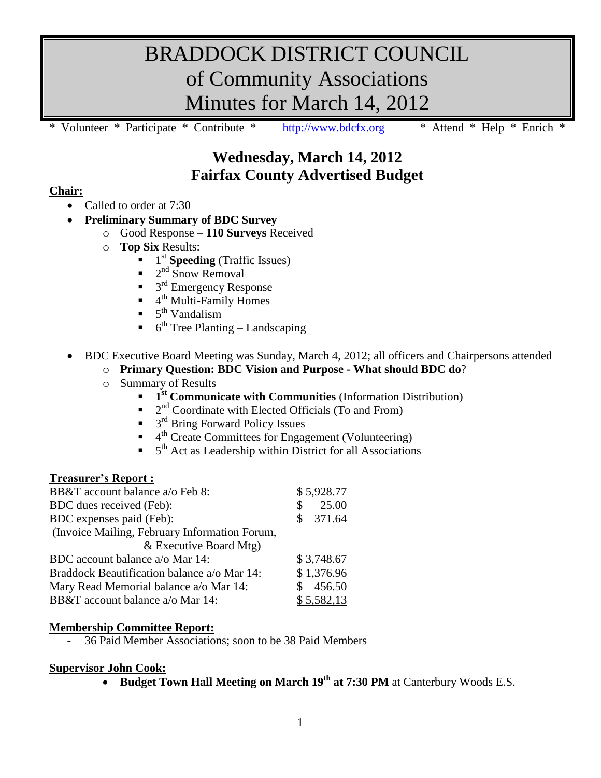# BRADDOCK DISTRICT COUNCIL of Community Associations Minutes for March 14, 2012

Volunteer \* Participate \* Contribute \* [http://www.bdcfx.org](http://www.bdcfx.org/) \* Attend \* Help \* Enrich

## **Wednesday, March 14, 2012 Fairfax County Advertised Budget**

### **Chair:**

- Called to order at 7:30
- **Preliminary Summary of BDC Survey**
	- o Good Response **110 Surveys** Received
	- **Top Six Results:** 
		- $\blacksquare$  1<sup>st</sup> **Speeding** (Traffic Issues)
		- $\blacksquare$  2<sup>nd</sup> Snow Removal
		- $\blacksquare$  3<sup>rd</sup> Emergency Response
		- $\blacksquare$  4<sup>th</sup> Multi-Family Homes
		- $\bullet$  5<sup>th</sup> Vandalism
		- $\bullet$  6<sup>th</sup> Tree Planting Landscaping
- BDC Executive Board Meeting was Sunday, March 4, 2012; all officers and Chairpersons attended
	- o **Primary Question: BDC Vision and Purpose - What should BDC do**?
	- o Summary of Results
		- **1**<sup>st</sup> Communicate with Communities (Information Distribution)
		- $\blacksquare$   $2<sup>nd</sup>$  Coordinate with Elected Officials (To and From)
		- $\blacksquare$  3<sup>rd</sup> Bring Forward Policy Issues
		- <sup>th</sup> Create Committees for Engagement (Volunteering)
		- $\bullet$  5<sup>th</sup> Act as Leadership within District for all Associations

#### **Treasurer's Report :**

| BB&T account balance a/o Feb 8:               |    | \$5,928.77 |
|-----------------------------------------------|----|------------|
| BDC dues received (Feb):                      |    | 25.00      |
| BDC expenses paid (Feb):                      | S. | 371.64     |
| (Invoice Mailing, February Information Forum, |    |            |
| & Executive Board Mtg)                        |    |            |
| BDC account balance a/o Mar 14:               |    | \$3,748.67 |
| Braddock Beautification balance a/o Mar 14:   |    | \$1,376.96 |
| Mary Read Memorial balance a/o Mar 14:        |    | 456.50     |
| BB&T account balance a/o Mar 14:              |    | \$5,582,13 |

## **Membership Committee Report:**

- 36 Paid Member Associations; soon to be 38 Paid Members

#### **Supervisor John Cook:**

**Budget Town Hall Meeting on March 19th at 7:30 PM** at Canterbury Woods E.S.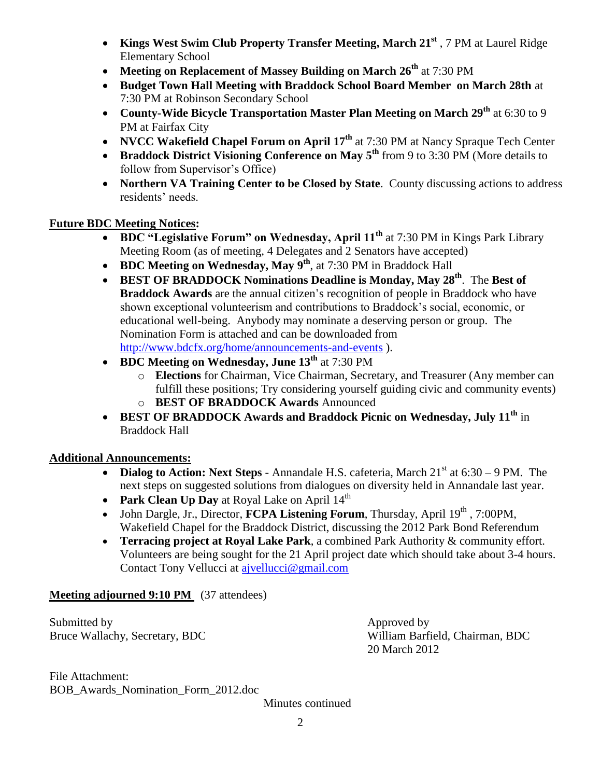- **Kings West Swim Club Property Transfer Meeting, March 21st** , 7 PM at Laurel Ridge Elementary School
- **Meeting on Replacement of Massey Building on March 26th** at 7:30 PM
- **Budget Town Hall Meeting with Braddock School Board Member on March 28th** at 7:30 PM at Robinson Secondary School
- **County-Wide Bicycle Transportation Master Plan Meeting on March 29th** at 6:30 to 9 PM at Fairfax City
- **NVCC Wakefield Chapel Forum on April 17<sup>th</sup> at 7:30 PM at Nancy Spraque Tech Center**
- **Braddock District Visioning Conference on May 5<sup>th</sup> from 9 to 3:30 PM (More details to** follow from Supervisor's Office)
- **Northern VA Training Center to be Closed by State**. County discussing actions to address residents' needs.

## **Future BDC Meeting Notices:**

- **BDC "Legislative Forum" on Wednesday, April 11th** at 7:30 PM in Kings Park Library Meeting Room (as of meeting, 4 Delegates and 2 Senators have accepted)
- **BDC Meeting on Wednesday, May 9th**, at 7:30 PM in Braddock Hall
- **BEST OF BRADDOCK Nominations Deadline is Monday, May 28th**. The **Best of Braddock Awards** are the annual citizen's recognition of people in Braddock who have shown exceptional volunteerism and contributions to Braddock's social, economic, or educational well-being. Anybody may nominate a deserving person or group. The Nomination Form is attached and can be downloaded from <http://www.bdcfx.org/home/announcements-and-events> ).
- **BDC Meeting on Wednesday, June 13th** at 7:30 PM
	- o **Elections** for Chairman, Vice Chairman, Secretary, and Treasurer (Any member can fulfill these positions; Try considering yourself guiding civic and community events) o **BEST OF BRADDOCK Awards** Announced
- **BEST OF BRADDOCK Awards and Braddock Picnic on Wednesday, July 11th** in Braddock Hall

## **Additional Announcements:**

- **Dialog to Action: Next Steps** Annandale H.S. cafeteria, March  $21<sup>st</sup>$  at  $6:30 9$  PM. The next steps on suggested solutions from dialogues on diversity held in Annandale last year.
- **Park Clean Up Day** at Royal Lake on April 14<sup>th</sup>
- John Dargle, Jr., Director, **FCPA Listening Forum**, Thursday, April 19<sup>th</sup>, 7:00PM, Wakefield Chapel for the Braddock District, discussing the 2012 Park Bond Referendum
- **Terracing project at Royal Lake Park**, a combined Park Authority & community effort. Volunteers are being sought for the 21 April project date which should take about 3-4 hours. Contact Tony Vellucci at [ajvellucci@gmail.com](mailto:ajvellucci@gmail.com)

## **Meeting adjourned 9:10 PM** (37 attendees)

Submitted by Approved by Approved by Approved by Approved by Approved by Approved by Approved by Approved by Approved by Approved by Approved by Approved by Approved by Approved by Approved by Approved by Approved by Appro

Bruce Wallachy, Secretary, BDC William Barfield, Chairman, BDC 20 March 2012

File Attachment: BOB\_Awards\_Nomination\_Form\_2012.doc

Minutes continued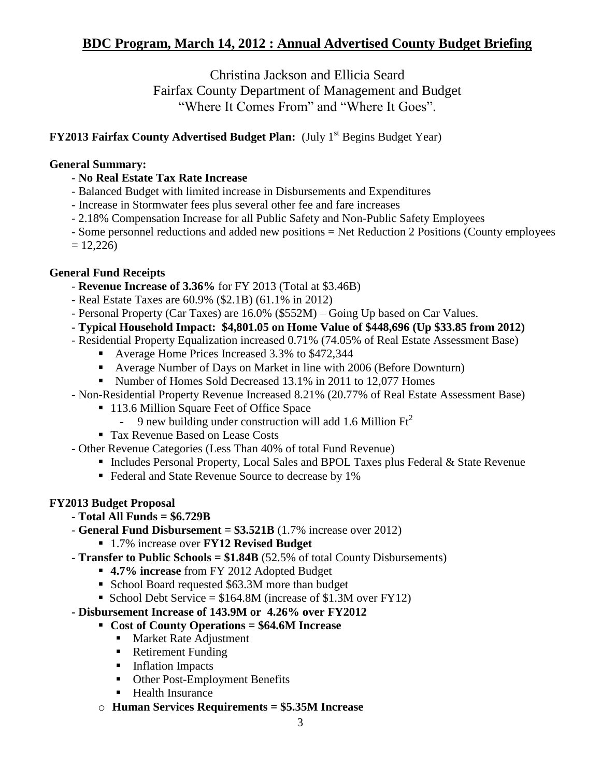## **BDC Program, March 14, 2012 : Annual Advertised County Budget Briefing**

Christina Jackson and Ellicia Seard Fairfax County Department of Management and Budget "Where It Comes From" and "Where It Goes".

#### **FY2013 Fairfax County Advertised Budget Plan:** (July 1<sup>st</sup> Begins Budget Year)

#### **General Summary:**

- **No Real Estate Tax Rate Increase**
- Balanced Budget with limited increase in Disbursements and Expenditures
- Increase in Stormwater fees plus several other fee and fare increases
- 2.18% Compensation Increase for all Public Safety and Non-Public Safety Employees
- Some personnel reductions and added new positions = Net Reduction 2 Positions (County employees
- $= 12,226$

#### **General Fund Receipts**

- **Revenue Increase of 3.36%** for FY 2013 (Total at \$3.46B)
- Real Estate Taxes are 60.9% (\$2.1B) (61.1% in 2012)
- Personal Property (Car Taxes) are 16.0% (\$552M) Going Up based on Car Values.
- **- Typical Household Impact: \$4,801.05 on Home Value of \$448,696 (Up \$33.85 from 2012)**
- Residential Property Equalization increased 0.71% (74.05% of Real Estate Assessment Base)
	- Average Home Prices Increased 3.3% to \$472,344
	- Average Number of Days on Market in line with 2006 (Before Downturn)
	- Number of Homes Sold Decreased 13.1% in 2011 to 12,077 Homes
- Non-Residential Property Revenue Increased 8.21% (20.77% of Real Estate Assessment Base)
	- 113.6 Million Square Feet of Office Space
		- 9 new building under construction will add 1.6 Million  $\text{Ft}^2$
	- Tax Revenue Based on Lease Costs
- Other Revenue Categories (Less Than 40% of total Fund Revenue)
	- Includes Personal Property, Local Sales and BPOL Taxes plus Federal & State Revenue
	- Federal and State Revenue Source to decrease by 1%

#### **FY2013 Budget Proposal**

- **Total All Funds = \$6.729B**
- **General Fund Disbursement = \$3.521B** (1.7% increase over 2012)
	- 1.7% increase over **FY12 Revised Budget**
- **Transfer to Public Schools = \$1.84B** (52.5% of total County Disbursements)
	- **4.7% increase** from FY 2012 Adopted Budget
	- School Board requested \$63.3M more than budget
	- School Debt Service =  $$164.8M$  (increase of  $$1.3M$  over FY12)

#### **- Disbursement Increase of 143.9M or 4.26% over FY2012**

#### **Cost of County Operations = \$64.6M Increase**

- **Market Rate Adjustment**
- Retirement Funding
- **Inflation Impacts**
- Other Post-Employment Benefits
- Health Insurance
- o **Human Services Requirements = \$5.35M Increase**